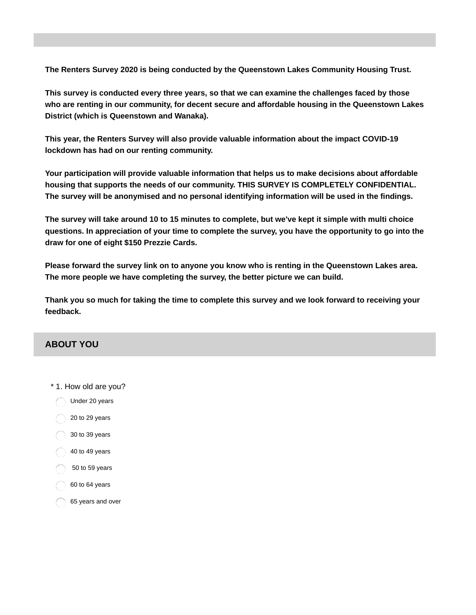**The Renters Survey 2020 is being conducted by the Queenstown Lakes Community Housing Trust.**

**This survey is conducted every three years, so that we can examine the challenges faced by those who are renting in our community, for decent secure and affordable housing in the Queenstown Lakes District (which is Queenstown and Wanaka).**

**This year, the Renters Survey will also provide valuable information about the impact COVID-19 lockdown has had on our renting community.**

**Your participation will provide valuable information that helps us to make decisions about affordable housing that supports the needs of our community. THIS SURVEY IS COMPLETELY CONFIDENTIAL. The survey will be anonymised and no personal identifying information will be used in the findings.**

The survey will take around 10 to 15 minutes to complete, but we've kept it simple with multi choice questions. In appreciation of your time to complete the survey, you have the opportunity to go into the **draw for one of eight \$150 Prezzie Cards.**

**Please forward the survey link on to anyone you know who is renting in the Queenstown Lakes area. The more people we have completing the survey, the better picture we can build.**

Thank you so much for taking the time to complete this survey and we look forward to receiving your **feedback.**

## **ABOUT YOU**

\* 1. How old are you? Under 20 years to 29 years to 39 years to 49 years to 59 years to 64 years years and over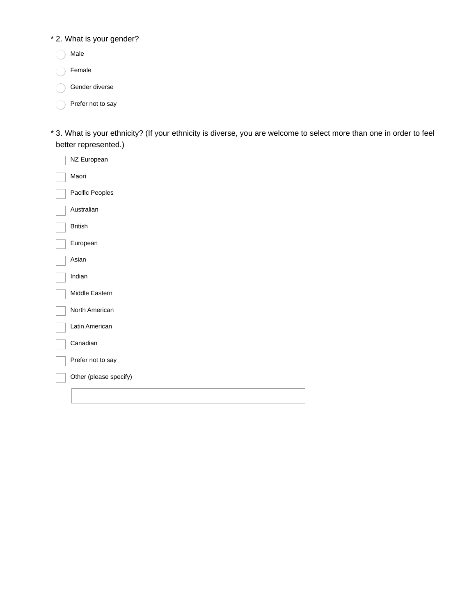### \* 2. What is your gender?

- Male
- Female  $\bigcirc$
- Gender diverse
- Prefer not to say
- 3. What is your ethnicity? (If your ethnicity is diverse, you are welcome to select more than one in order to feel \* better represented.)

| NZ European            |
|------------------------|
| Maori                  |
| Pacific Peoples        |
| Australian             |
| <b>British</b>         |
| European               |
| Asian                  |
| Indian                 |
| Middle Eastern         |
| North American         |
| Latin American         |
| Canadian               |
| Prefer not to say      |
| Other (please specify) |
|                        |
|                        |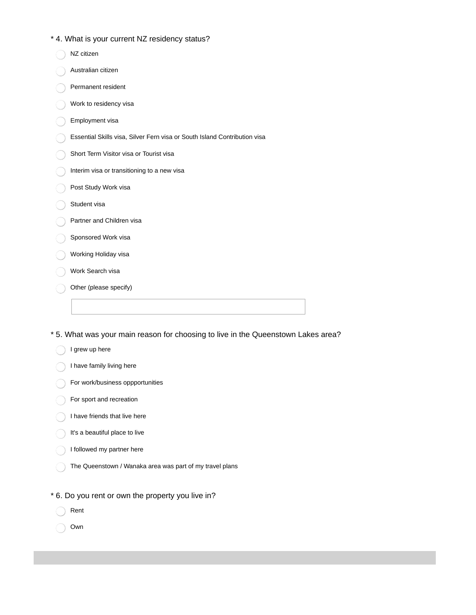#### \* 4. What is your current NZ residency status?

| NZ citizen                                                                |
|---------------------------------------------------------------------------|
| Australian citizen                                                        |
| Permanent resident                                                        |
| Work to residency visa                                                    |
| Employment visa                                                           |
| Essential Skills visa, Silver Fern visa or South Island Contribution visa |
| Short Term Visitor visa or Tourist visa                                   |
| Interim visa or transitioning to a new visa                               |
| Post Study Work visa                                                      |
| Student visa                                                              |
| Partner and Children visa                                                 |
| Sponsored Work visa                                                       |
| Working Holiday visa                                                      |
| Work Search visa                                                          |
| Other (please specify)                                                    |
|                                                                           |

\* 5. What was your main reason for choosing to live in the Queenstown Lakes area?

- I have family living here
- **For work/business oppportunities**
- For sport and recreation
- I have friends that live here
- It's a beautiful place to live
- I followed my partner here
- The Queenstown / Wanaka area was part of my travel plans
- \* 6. Do you rent or own the property you live in?
	- Rent
	- Own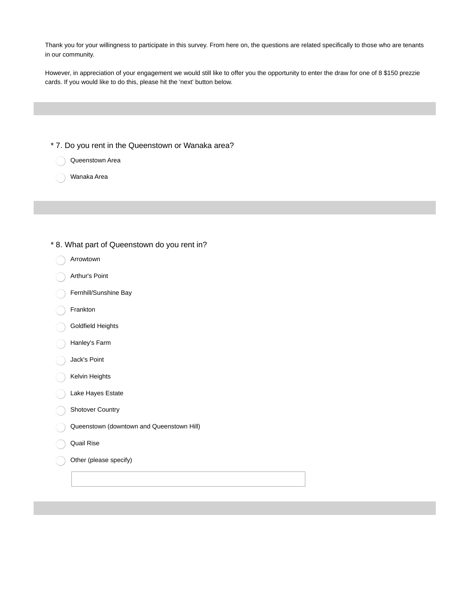Thank you for your willingness to participate in this survey. From here on, the questions are related specifically to those who are tenants in our community.

However, in appreciation of your engagement we would still like to offer you the opportunity to enter the draw for one of 8 \$150 prezzie cards. If you would like to do this, please hit the 'next' button below.

- \* 7. Do you rent in the Queenstown or Wanaka area?
	- Queenstown Area
	- Wanaka Area

#### \* 8. What part of Queenstown do you rent in?

- Arrowtown
- Arthur's Point
- Fernhill/Sunshine Bay
- Frankton
- Goldfield Heights
- Hanley's Farm
- Jack's Point
- Kelvin Heights
- Lake Hayes Estate
- Shotover Country
- Queenstown (downtown and Queenstown Hill)
- Quail Rise
	- Other (please specify)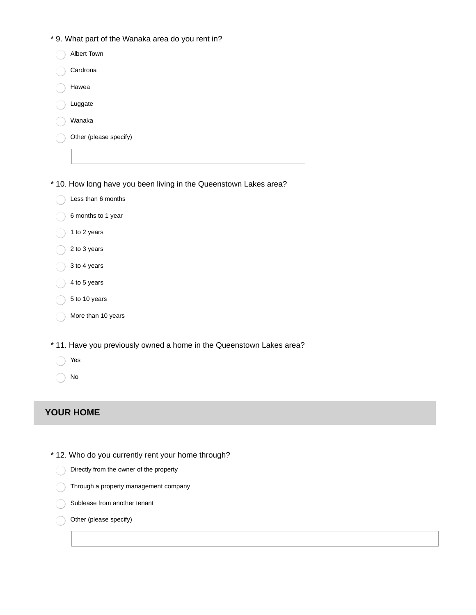\* 9. What part of the Wanaka area do you rent in?

\* 10. How long have you been living in the Queenstown Lakes area?

- Less than 6 months ◯
- 6 months to 1 year  $\bigcirc$
- 1 to 2 years
- 2 to 3 years
- 3 to 4 years
- 4 to 5 years
- 5 to 10 years
- More than 10 years
- \* 11. Have you previously owned a home in the Queenstown Lakes area?
	- Yes
	- No

#### **YOUR HOME**

- \* 12. Who do you currently rent your home through?
	- Directly from the owner of the property ∩
	- Through a property management company
	- Sublease from another tenant
	- Other (please specify)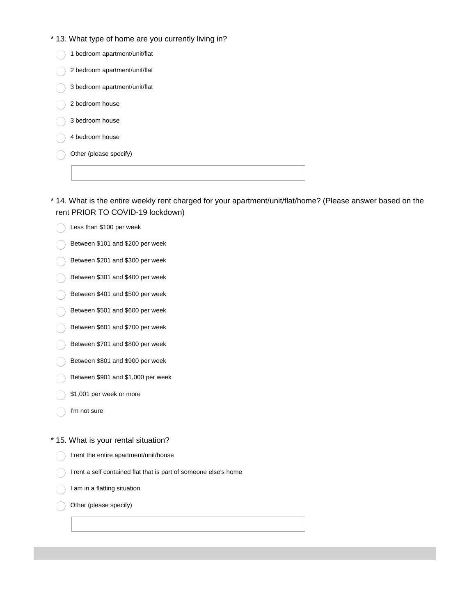\* 13. What type of home are you currently living in?

|  | 1 bedroom apartment/unit/flat |
|--|-------------------------------|
|  | 2 bedroom apartment/unit/flat |
|  | 3 bedroom apartment/unit/flat |
|  | 2 bedroom house               |
|  | 3 bedroom house               |
|  | 4 bedroom house               |
|  | Other (please specify)        |
|  |                               |
|  |                               |

14. What is the entire weekly rent charged for your apartment/unit/flat/home? (Please answer based on the \* rent PRIOR TO COVID-19 lockdown)

- Less than \$100 per week  $\bigcirc$
- Between \$101 and \$200 per week
- Between \$201 and \$300 per week
- Between \$301 and \$400 per week
- Between \$401 and \$500 per week
- Between \$501 and \$600 per week
- Between \$601 and \$700 per week
- Between \$701 and \$800 per week
- Between \$801 and \$900 per week
- Between  $$901$  and  $$1,000$  per week
- \$1,001 per week or more
- I'm not sure

\* 15. What is your rental situation?

- I rent the entire apartment/unit/house
- I rent a self contained flat that is part of someone else's home
- I am in a flatting situation

Other (please specify)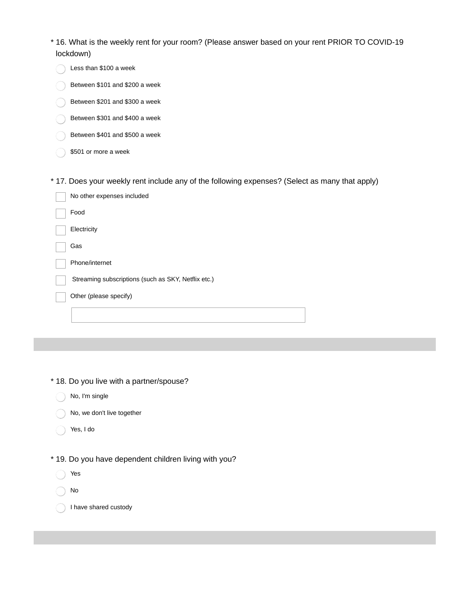| * 16. What is the weekly rent for your room? (Please answer based on your rent PRIOR TO COVID-19 |  |
|--------------------------------------------------------------------------------------------------|--|
| lockdown)                                                                                        |  |

| Less than \$100 a week                                                                         |
|------------------------------------------------------------------------------------------------|
| Between \$101 and \$200 a week                                                                 |
| Between \$201 and \$300 a week                                                                 |
| Between \$301 and \$400 a week                                                                 |
| Between \$401 and \$500 a week                                                                 |
| \$501 or more a week                                                                           |
|                                                                                                |
| * 17. Does your weekly rent include any of the following expenses? (Select as many that apply) |
| No other expenses included                                                                     |
| Food                                                                                           |
| Electricity                                                                                    |
| Gas                                                                                            |
| Phone/internet                                                                                 |
| Streaming subscriptions (such as SKY, Netflix etc.)                                            |
| Other (please specify)                                                                         |
|                                                                                                |
|                                                                                                |

- \* 18. Do you live with a partner/spouse?
	- No, I'm single
	- No, we don't live together  $\bigcirc$
	- $\bigcirc$ Yes, I do
- \* 19. Do you have dependent children living with you?
	- Yes  $\bigcirc$
	- $\bigcirc$ No
	- I have shared custody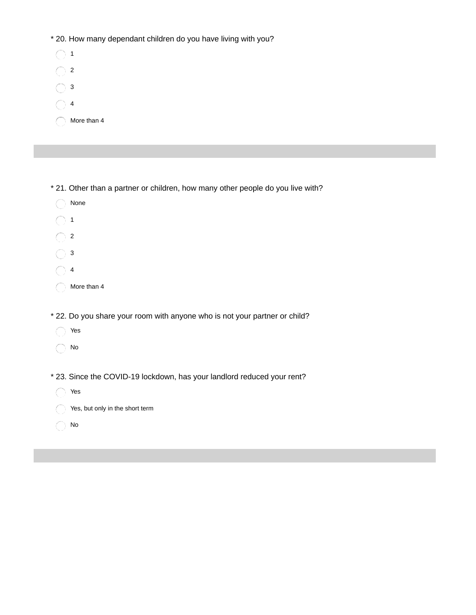\* 20. How many dependant children do you have living with you?

| 1           |
|-------------|
| 2           |
| 3           |
| 4           |
| More than 4 |

\* 21. Other than a partner or children, how many other people do you live with?

| None                                                                       |
|----------------------------------------------------------------------------|
| 1                                                                          |
| 2                                                                          |
| 3                                                                          |
| 4                                                                          |
| More than 4                                                                |
|                                                                            |
| * 22. Do you share your room with anyone who is not your partner or child? |
| Yes                                                                        |
| No                                                                         |
|                                                                            |
| * 23. Since the COVID-19 lockdown, has your landlord reduced your rent?    |
| Yes                                                                        |
| Yes, but only in the short term                                            |
| No                                                                         |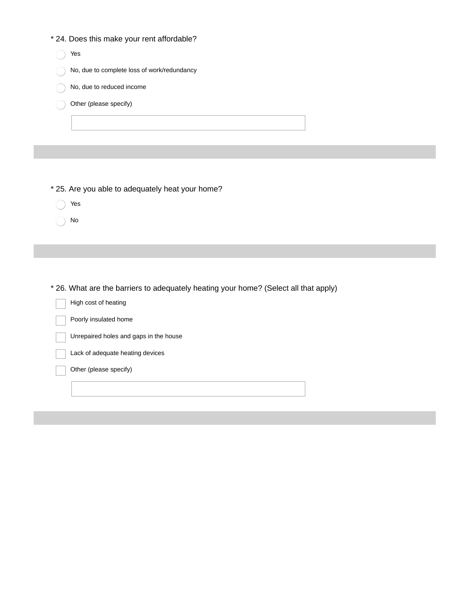|  |  |  | * 24. Does this make your rent affordable? |
|--|--|--|--------------------------------------------|
|--|--|--|--------------------------------------------|

| Yes                                         |
|---------------------------------------------|
| No, due to complete loss of work/redundancy |
| No, due to reduced income                   |
| Other (please specify)                      |
|                                             |
|                                             |

- \* 25. Are you able to adequately heat your home?
	- Yes ∩

No  $\bigcirc$ 

\* 26. What are the barriers to adequately heating your home? (Select all that apply)

| High cost of heating                   |
|----------------------------------------|
| Poorly insulated home                  |
| Unrepaired holes and gaps in the house |
| Lack of adequate heating devices       |
| Other (please specify)                 |
|                                        |
|                                        |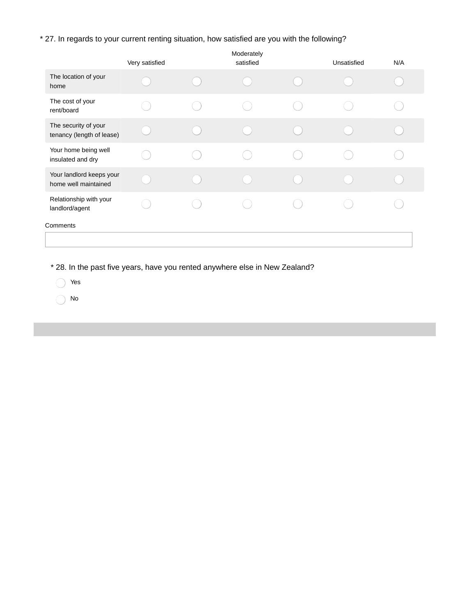### \* 27. In regards to your current renting situation, how satisfied are you with the following?

|                                                   | Very satisfied | Moderately<br>satisfied | Unsatisfied | N/A |
|---------------------------------------------------|----------------|-------------------------|-------------|-----|
| The location of your<br>home                      |                |                         |             |     |
| The cost of your<br>rent/board                    |                |                         |             |     |
| The security of your<br>tenancy (length of lease) |                |                         |             |     |
| Your home being well<br>insulated and dry         |                |                         |             |     |
| Your landlord keeps your<br>home well maintained  |                |                         |             |     |
| Relationship with your<br>landlord/agent          |                |                         |             |     |
| Comments                                          |                |                         |             |     |
|                                                   |                |                         |             |     |

\* 28. In the past five years, have you rented anywhere else in New Zealand?

Yes

No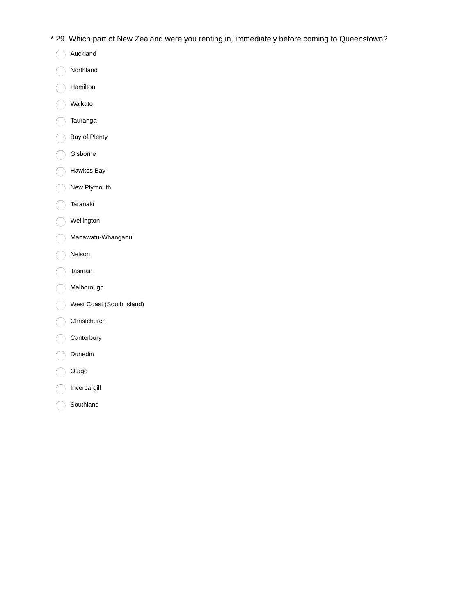- \* 29. Which part of New Zealand were you renting in, immediately before coming to Queenstown?
	- Auckland  $\bigcap$
- Northland  $\bigcirc$
- Hamilton ∩
- Waikato €
- Tauranga €
- Bay of Plenty  $\bigcap$
- Gisborne
- Hawkes Bay ).
- New Plymouth Ì
- Taranaki
- Wellington
- Manawatu-Whanganui ſ.
- Nelson
- Tasman
- Malborough
- West Coast (South Island)
- Christchurch
- Canterbury
- Dunedin
- Otago
- Invercargill
- Southland $\bigcap$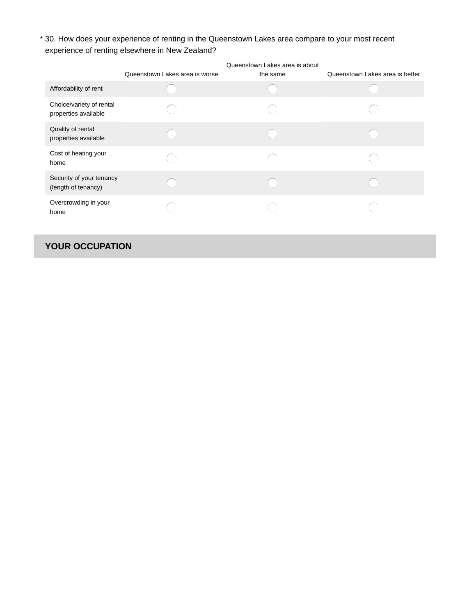30. How does your experience of renting in the Queenstown Lakes area compare to your most recent \* experience of renting elsewhere in New Zealand?

|                                                  | Queenstown Lakes area is worse | Queenstown Lakes area is about<br>the same | Queenstown Lakes area is better |
|--------------------------------------------------|--------------------------------|--------------------------------------------|---------------------------------|
| Affordability of rent                            |                                |                                            |                                 |
| Choice/variety of rental<br>properties available |                                | ⊖                                          |                                 |
| Quality of rental<br>properties available        |                                |                                            |                                 |
| Cost of heating your<br>home                     |                                | ()                                         |                                 |
| Security of your tenancy<br>(length of tenancy)  |                                |                                            |                                 |
| Overcrowding in your<br>home                     |                                |                                            |                                 |

# **YOUR OCCUPATION**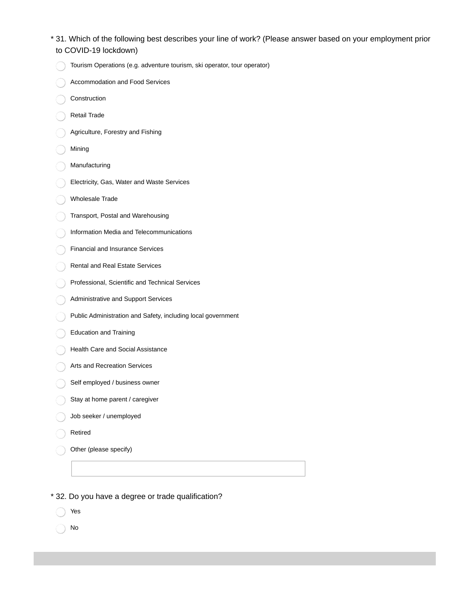- 31. Which of the following best describes your line of work? (Please answer based on your employment prior \* to COVID-19 lockdown)
	- Tourism Operations (e.g. adventure tourism, ski operator, tour operator)
	- Accommodation and Food Services
	- Construction
- Retail Trade
- Agriculture, Forestry and Fishing
- Mining
- Manufacturing
- Electricity, Gas, Water and Waste Services
- Wholesale Trade
- Transport, Postal and Warehousing
- Information Media and Telecommunications
- Financial and Insurance Services
- Rental and Real Estate Services
- Professional, Scientific and Technical Services
- Administrative and Support Services
- Public Administration and Safety, including local government
- Education and Training
- Health Care and Social Assistance
- Arts and Recreation Services
- Self employed / business owner
- Stay at home parent / caregiver
- Job seeker / unemployed
- Retired
- Other (please specify)
- \* 32. Do you have a degree or trade qualification?
	- Yes
	- No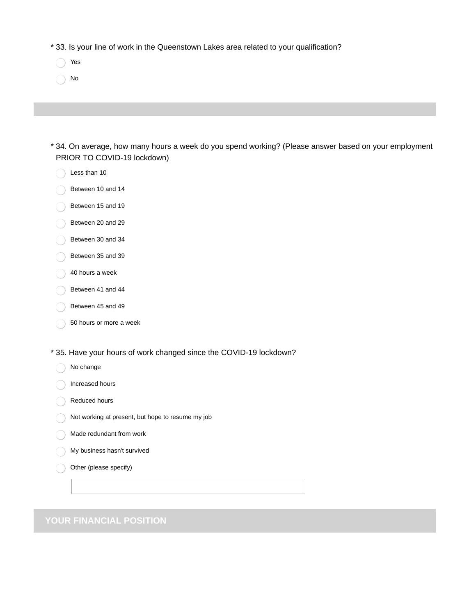\* 33. Is your line of work in the Queenstown Lakes area related to your qualification?

- Yes
- No

| t 34. On average, how many hours a week do you spend working? (Please answer based on your employment * |  |
|---------------------------------------------------------------------------------------------------------|--|
| PRIOR TO COVID-19 lockdown)                                                                             |  |

- Less than 10
- Between 10 and 14
- Between 15 and 19
- Between 20 and 29
- Between 30 and 34
- Between 35 and 39
- 40 hours a week
- Between 41 and 44
- Between 45 and 49
- 50 hours or more a week
- \* 35. Have your hours of work changed since the COVID-19 lockdown?
	- ∩ No change
	- Increased hours
	- Reduced hours
	- Not working at present, but hope to resume my job
	- Made redundant from work
	- My business hasn't survived
	- Other (please specify)

**YOUR FINANCIAL POSITION**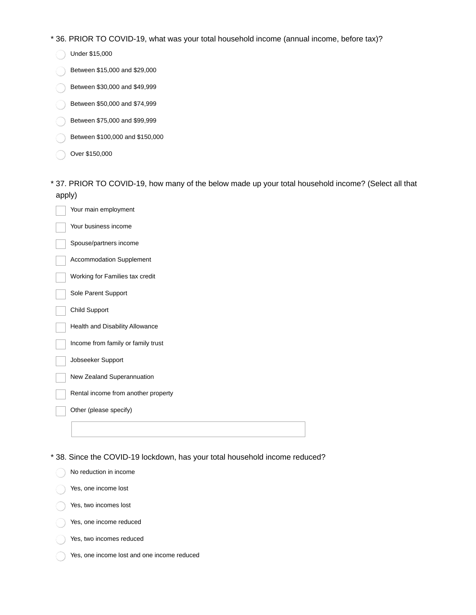\* 36. PRIOR TO COVID-19, what was your total household income (annual income, before tax)?

- Under \$15,000
- Between \$15,000 and \$29,000
- Between \$30,000 and \$49,999
- Between \$50,000 and \$74,999
- Between \$75,000 and \$99,999
- Between \$100,000 and \$150,000
- Over \$150,000
- 37. PRIOR TO COVID-19, how many of the below made up your total household income? (Select all that \* apply)

| Your main employment                |
|-------------------------------------|
| Your business income                |
| Spouse/partners income              |
| Accommodation Supplement            |
| Working for Families tax credit     |
| Sole Parent Support                 |
| Child Support                       |
| Health and Disability Allowance     |
| Income from family or family trust  |
| Jobseeker Support                   |
| New Zealand Superannuation          |
| Rental income from another property |
| Other (please specify)              |
|                                     |
|                                     |

\* 38. Since the COVID-19 lockdown, has your total household income reduced?

|  | No reduction in income                      |
|--|---------------------------------------------|
|  | Yes, one income lost                        |
|  | Yes, two incomes lost                       |
|  | Yes, one income reduced                     |
|  | Yes, two incomes reduced                    |
|  | Yes, one income lost and one income reduced |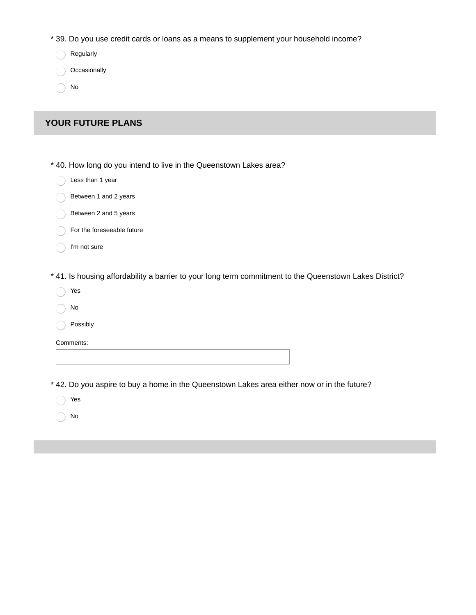\* 39. Do you use credit cards or loans as a means to supplement your household income?

Regularly

**Occasionally** 

No

### **YOUR FUTURE PLANS**

\* 40. How long do you intend to live in the Queenstown Lakes area?

|  | Less than 1 year |
|--|------------------|
|--|------------------|

- Between 1 and 2 years
- Between 2 and 5 years
- For the foreseeable future
- I'm not sure

\* 41. Is housing affordability a barrier to your long term commitment to the Queenstown Lakes District?

- Yes
- No

Possibly

Comments:

\* 42. Do you aspire to buy a home in the Queenstown Lakes area either now or in the future?

Yes  $\bigcirc$ 

No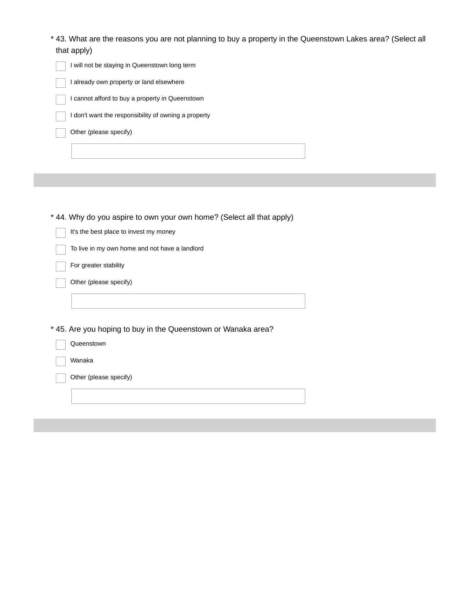| * 43. What are the reasons you are not planning to buy a property in the Queenstown Lakes area? (Select all |  |
|-------------------------------------------------------------------------------------------------------------|--|
| that apply)                                                                                                 |  |

| I will not be staying in Queenstown long term        |
|------------------------------------------------------|
| I already own property or land elsewhere             |
| I cannot afford to buy a property in Queenstown      |
| I don't want the responsibility of owning a property |
| Other (please specify)                               |
|                                                      |
|                                                      |
|                                                      |

\* 44. Why do you aspire to own your own home? (Select all that apply)

T.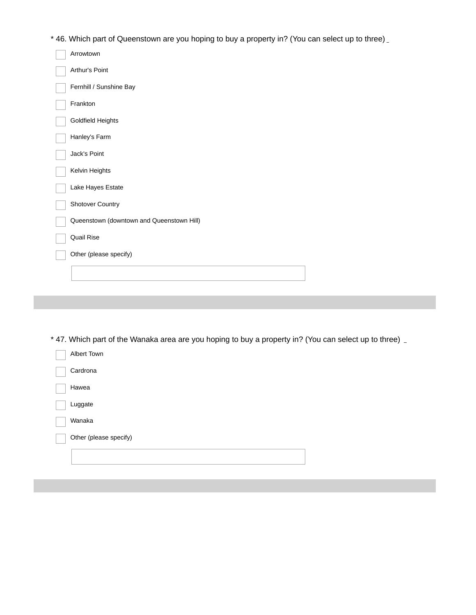\* 46. Which part of Queenstown are you hoping to buy a property in? (You can select up to three)

| Arrowtown                                 |
|-------------------------------------------|
| Arthur's Point                            |
| Fernhill / Sunshine Bay                   |
| Frankton                                  |
| Goldfield Heights                         |
| Hanley's Farm                             |
| Jack's Point                              |
| Kelvin Heights                            |
| Lake Hayes Estate                         |
| Shotover Country                          |
| Queenstown (downtown and Queenstown Hill) |
| Quail Rise                                |
| Other (please specify)                    |
|                                           |
|                                           |

\* 47. Which part of the Wanaka area are you hoping to buy a property in? (You can select up to three)

| Albert Town            |  |
|------------------------|--|
| Cardrona               |  |
| Hawea                  |  |
| Luggate                |  |
| Wanaka                 |  |
| Other (please specify) |  |
|                        |  |
|                        |  |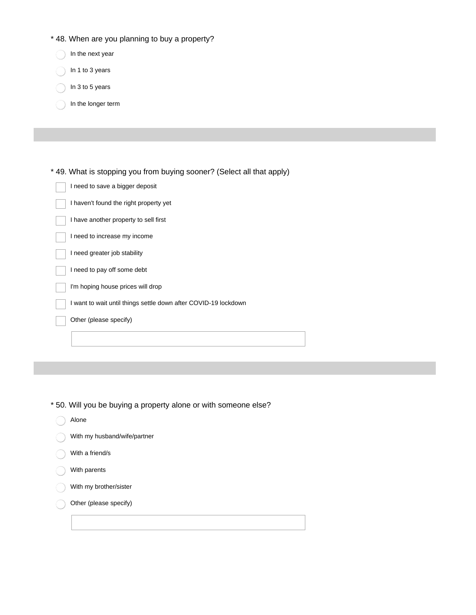- \* 48. When are you planning to buy a property?
	- In the next year
	- In 1 to 3 years
	- In 3 to 5 years
	- In the longer term

\* 49. What is stopping you from buying sooner? (Select all that apply)

| I need to save a bigger deposit |
|---------------------------------|
|                                 |
|                                 |

- I haven't found the right property yet
- I have another property to sell first
- I need to increase my income
- I need greater job stability
- I need to pay off some debt
- I'm hoping house prices will drop
- I want to wait until things settle down after COVID-19 lockdown
- Other (please specify)

- \* 50. Will you be buying a property alone or with someone else?
	- Alone
	- With my husband/wife/partner
	- With a friend/s
	- With parents
	- With my brother/sister
	- Other (please specify)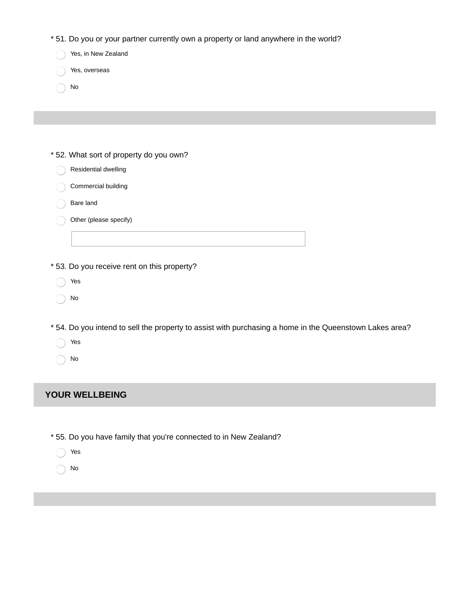| * 51. Do you or your partner currently own a property or land anywhere in the world?                    |
|---------------------------------------------------------------------------------------------------------|
| Yes, in New Zealand                                                                                     |
| Yes, overseas                                                                                           |
| No                                                                                                      |
|                                                                                                         |
|                                                                                                         |
|                                                                                                         |
| * 52. What sort of property do you own?                                                                 |
| Residential dwelling                                                                                    |
| Commercial building                                                                                     |
| Bare land                                                                                               |
| Other (please specify)                                                                                  |
|                                                                                                         |
|                                                                                                         |
| * 53. Do you receive rent on this property?                                                             |
| Yes                                                                                                     |
| No                                                                                                      |
|                                                                                                         |
| * 54. Do you intend to sell the property to assist with purchasing a home in the Queenstown Lakes area? |
| Yes                                                                                                     |
| No                                                                                                      |
|                                                                                                         |
| <b>YOUR WELLBEING</b>                                                                                   |
|                                                                                                         |
|                                                                                                         |
| * 55. Do you have family that you're connected to in New Zealand?                                       |
| Yes                                                                                                     |

 $\bigcirc$  No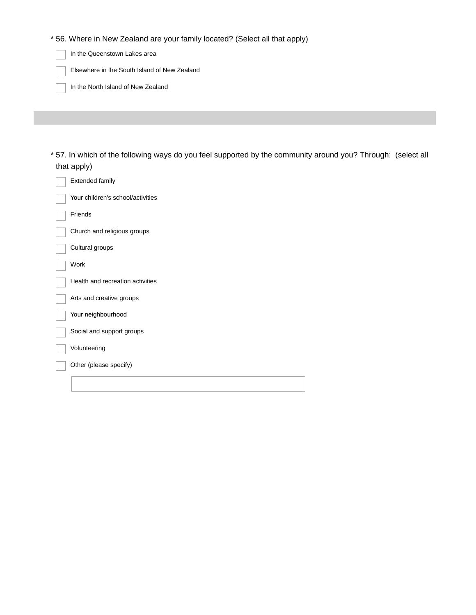\* 56. Where in New Zealand are your family located? (Select all that apply)

In the Queenstown Lakes area

Elsewhere in the South Island of New Zealand

In the North Island of New Zealand

57. In which of the following ways do you feel supported by the community around you? Through: (select all \* that apply)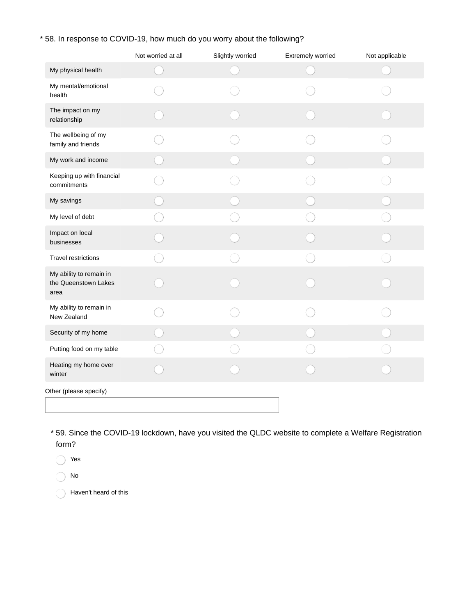### \* 58. In response to COVID-19, how much do you worry about the following?

|                                                         | Not worried at all | Slightly worried | Extremely worried | Not applicable |
|---------------------------------------------------------|--------------------|------------------|-------------------|----------------|
| My physical health                                      |                    |                  |                   |                |
| My mental/emotional<br>health                           |                    |                  |                   |                |
| The impact on my<br>relationship                        |                    |                  |                   |                |
| The wellbeing of my<br>family and friends               |                    |                  |                   |                |
| My work and income                                      |                    |                  |                   |                |
| Keeping up with financial<br>commitments                |                    |                  |                   |                |
| My savings                                              |                    |                  |                   |                |
| My level of debt                                        |                    |                  |                   |                |
| Impact on local<br>businesses                           |                    |                  |                   |                |
| Travel restrictions                                     |                    |                  |                   |                |
| My ability to remain in<br>the Queenstown Lakes<br>area |                    |                  |                   |                |
| My ability to remain in<br>New Zealand                  |                    |                  |                   |                |
| Security of my home                                     |                    |                  |                   |                |
| Putting food on my table                                |                    |                  |                   |                |
| Heating my home over<br>winter                          |                    |                  |                   |                |
| Other (please specify)                                  |                    |                  |                   |                |
|                                                         |                    |                  |                   |                |

59. Since the COVID-19 lockdown, have you visited the QLDC website to complete a Welfare Registration \* form?

Yes

No

Haven't heard of this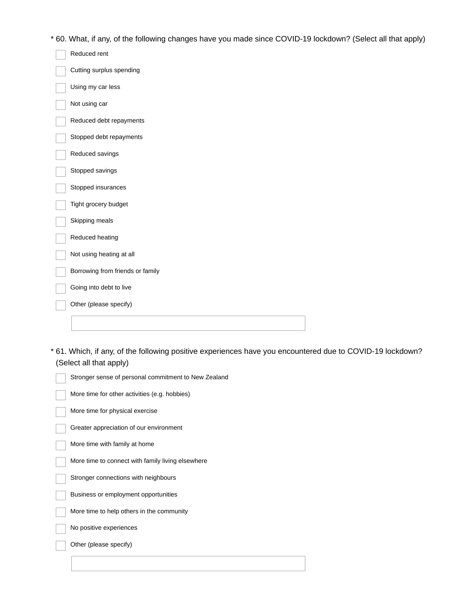\* 60. What, if any, of the following changes have you made since COVID-19 lockdown? (Select all that apply)

| Reduced rent                     |
|----------------------------------|
| Cutting surplus spending         |
| Using my car less                |
| Not using car                    |
| Reduced debt repayments          |
| Stopped debt repayments          |
| Reduced savings                  |
| Stopped savings                  |
| Stopped insurances               |
| Tight grocery budget             |
| Skipping meals                   |
| Reduced heating                  |
| Not using heating at all         |
| Borrowing from friends or family |
| Going into debt to live          |
| Other (please specify)           |
|                                  |

61. Which, if any, of the following positive experiences have you encountered due to COVID-19 lockdown? \* (Select all that apply)

| Stronger sense of personal commitment to New Zealand |
|------------------------------------------------------|
| More time for other activities (e.g. hobbies)        |
| More time for physical exercise                      |
| Greater appreciation of our environment              |
| More time with family at home                        |
| More time to connect with family living elsewhere    |
| Stronger connections with neighbours                 |
| Business or employment opportunities                 |
| More time to help others in the community            |
| No positive experiences                              |
| Other (please specify)                               |
|                                                      |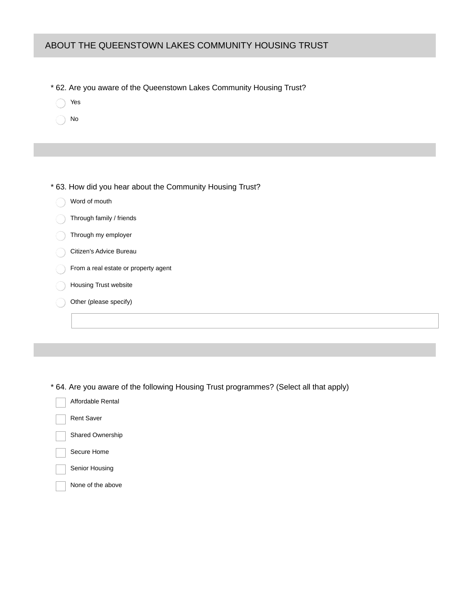#### ABOUT THE QUEENSTOWN LAKES COMMUNITY HOUSING TRUST

- \* 62. Are you aware of the Queenstown Lakes Community Housing Trust?
	- Yes
	- No
- \* 63. How did you hear about the Community Housing Trust?
	- Word of mouth
	- Through family / friends
	- Through my employer
	- Citizen's Advice Bureau
	- From a real estate or property agent
	- Housing Trust website
	- Other (please specify)

\* 64. Are you aware of the following Housing Trust programmes? (Select all that apply)

| Affordable Rental |
|-------------------|
| <b>Rent Saver</b> |

Shared Ownership

- Secure Home
- Senior Housing
- None of the above